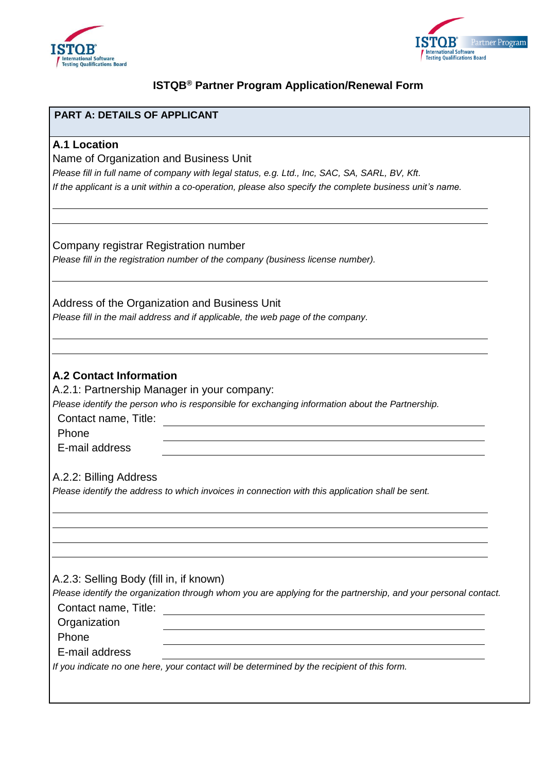



# **ISTQB® Partner Program Application/Renewal Form**

| <b>PART A: DETAILS OF APPLICANT</b>                                                                        |                                                                                                                                                                                                               |
|------------------------------------------------------------------------------------------------------------|---------------------------------------------------------------------------------------------------------------------------------------------------------------------------------------------------------------|
| <b>A.1 Location</b>                                                                                        |                                                                                                                                                                                                               |
| Name of Organization and Business Unit                                                                     |                                                                                                                                                                                                               |
|                                                                                                            | Please fill in full name of company with legal status, e.g. Ltd., Inc, SAC, SA, SARL, BV, Kft.                                                                                                                |
|                                                                                                            | If the applicant is a unit within a co-operation, please also specify the complete business unit's name.                                                                                                      |
| Company registrar Registration number                                                                      |                                                                                                                                                                                                               |
|                                                                                                            | Please fill in the registration number of the company (business license number).                                                                                                                              |
|                                                                                                            | Address of the Organization and Business Unit                                                                                                                                                                 |
|                                                                                                            | Please fill in the mail address and if applicable, the web page of the company.                                                                                                                               |
| <b>A.2 Contact Information</b><br>Contact name, Title:<br>Phone<br>E-mail address                          | A.2.1: Partnership Manager in your company:<br>Please identify the person who is responsible for exchanging information about the Partnership.                                                                |
| A.2.2: Billing Address                                                                                     | Please identify the address to which invoices in connection with this application shall be sent.                                                                                                              |
| A.2.3: Selling Body (fill in, if known)<br>Contact name, Title:<br>Organization<br>Phone<br>E-mail address | Please identify the organization through whom you are applying for the partnership, and your personal contact.<br>If you indicate no one here, your contact will be determined by the recipient of this form. |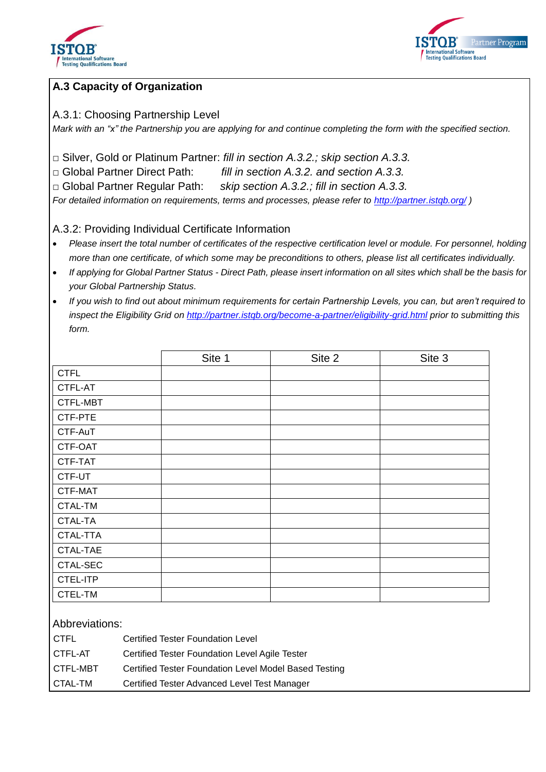



# **A.3 Capacity of Organization**

### A.3.1: Choosing Partnership Level

*Mark with an "x" the Partnership you are applying for and continue completing the form with the specified section.*

□ Silver, Gold or Platinum Partner: *fill in section A.3.2.; skip section A.3.3.*

□ Global Partner Direct Path: *fill in section A.3.2. and section A.3.3.*

□ Global Partner Regular Path: *skip section A.3.2.; fill in section A.3.3.*

*For detailed information on requirements, terms and processes, please refer to http://partner.istqb.org/ )*

A.3.2: Providing Individual Certificate Information

- *Please insert the total number of certificates of the respective certification level or module. For personnel, holding more than one certificate, of which some may be preconditions to others, please list all certificates individually.*
- *If applying for Global Partner Status - Direct Path, please insert information on all sites which shall be the basis for your Global Partnership Status.*
- *If you wish to find out about minimum requirements for certain Partnership Levels, you can, but aren't required to inspect the Eligibility Grid on http://partner.istqb.org/become-a-partner/eligibility-grid.html prior to submitting this form.*

|             | Site 1 | Site 2 | Site 3 |
|-------------|--------|--------|--------|
| <b>CTFL</b> |        |        |        |
| CTFL-AT     |        |        |        |
| CTFL-MBT    |        |        |        |
| CTF-PTE     |        |        |        |
| CTF-AuT     |        |        |        |
| CTF-OAT     |        |        |        |
| CTF-TAT     |        |        |        |
| CTF-UT      |        |        |        |
| CTF-MAT     |        |        |        |
| CTAL-TM     |        |        |        |
| CTAL-TA     |        |        |        |
| CTAL-TTA    |        |        |        |
| CTAL-TAE    |        |        |        |
| CTAL-SEC    |        |        |        |
| CTEL-ITP    |        |        |        |
| CTEL-TM     |        |        |        |

Abbreviations:

| <b>CTFL</b> | <b>Certified Tester Foundation Level</b>              |
|-------------|-------------------------------------------------------|
| CTFL-AT     | Certified Tester Foundation Level Agile Tester        |
| CTFL-MBT    | Certified Tester Foundation Level Model Based Testing |
| CTAL-TM     | Certified Tester Advanced Level Test Manager          |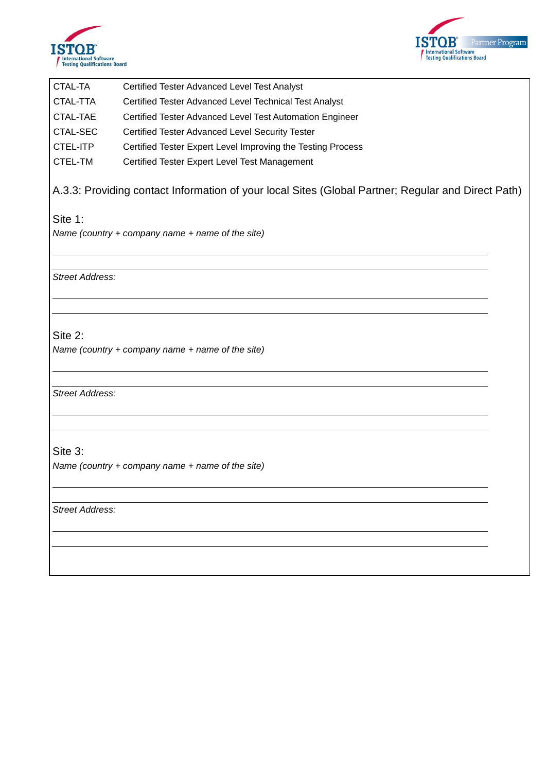



| CTAL-TA         | Certified Tester Advanced Level Test Analyst                |
|-----------------|-------------------------------------------------------------|
| CTAL-TTA        | Certified Tester Advanced Level Technical Test Analyst      |
| CTAL-TAE        | Certified Tester Advanced Level Test Automation Engineer    |
| CTAL-SEC        | Certified Tester Advanced Level Security Tester             |
| <b>CTEL-ITP</b> | Certified Tester Expert Level Improving the Testing Process |
| CTEL-TM         | Certified Tester Expert Level Test Management               |

A.3.3: Providing contact Information of your local Sites (Global Partner; Regular and Direct Path)

Site 1:

*Name (country + company name + name of the site)*

*Street Address:*

Site 2:

*Name (country + company name + name of the site)*

*Street Address:*

Site 3:

*Name (country + company name + name of the site)*

*Street Address:*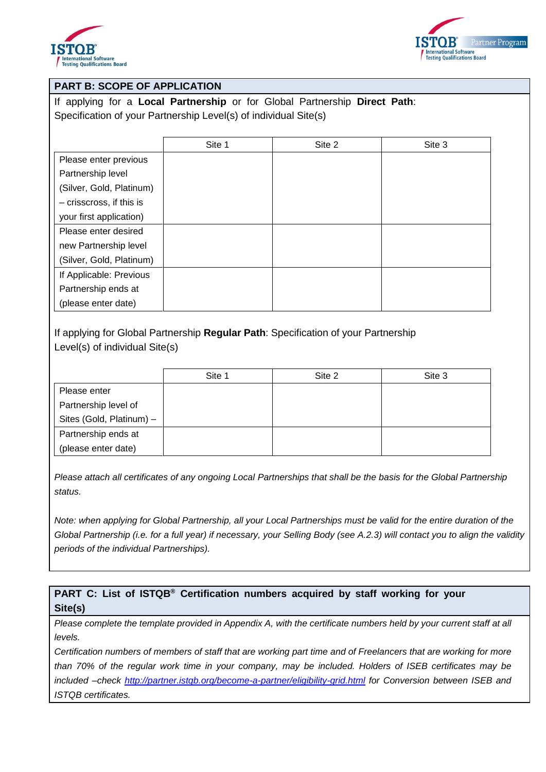



#### **PART B: SCOPE OF APPLICATION**

If applying for a **Local Partnership** or for Global Partnership **Direct Path**: Specification of your Partnership Level(s) of individual Site(s)

|                          | Site 1 | Site 2 | Site 3 |
|--------------------------|--------|--------|--------|
| Please enter previous    |        |        |        |
| Partnership level        |        |        |        |
| (Silver, Gold, Platinum) |        |        |        |
| - crisscross, if this is |        |        |        |
| your first application)  |        |        |        |
| Please enter desired     |        |        |        |
| new Partnership level    |        |        |        |
| (Silver, Gold, Platinum) |        |        |        |
| If Applicable: Previous  |        |        |        |
| Partnership ends at      |        |        |        |
| (please enter date)      |        |        |        |

If applying for Global Partnership **Regular Path**: Specification of your Partnership Level(s) of individual Site(s)

|                          | Site 1 | Site 2 | Site 3 |
|--------------------------|--------|--------|--------|
| Please enter             |        |        |        |
| Partnership level of     |        |        |        |
| Sites (Gold, Platinum) - |        |        |        |
| Partnership ends at      |        |        |        |
| (please enter date)      |        |        |        |

*Please attach all certificates of any ongoing Local Partnerships that shall be the basis for the Global Partnership status.*

*Note: when applying for Global Partnership, all your Local Partnerships must be valid for the entire duration of the Global Partnership (i.e. for a full year) if necessary, your Selling Body (see A.2.3) will contact you to align the validity periods of the individual Partnerships).*

# **PART C: List of ISTQB® Certification numbers acquired by staff working for your Site(s)**

*Please complete the template provided in Appendix A, with the certificate numbers held by your current staff at all levels.*

*Certification numbers of members of staff that are working part time and of Freelancers that are working for more than 70% of the regular work time in your company, may be included. Holders of ISEB certificates may be included –check http://partner.istqb.org/become-a-partner/eligibility-grid.html for Conversion between ISEB and ISTQB certificates.*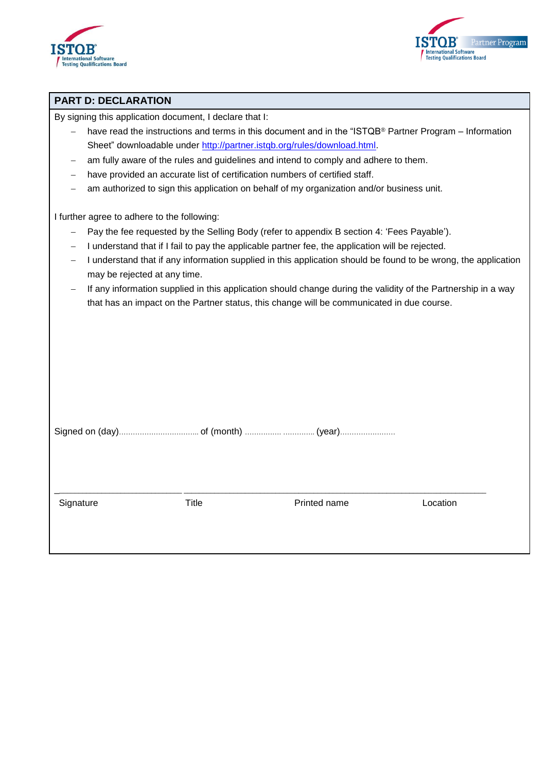



## **PART D: DECLARATION**

By signing this application document, I declare that I:

| have read the instructions and terms in this document and in the "ISTQB® Partner Program – Information |
|--------------------------------------------------------------------------------------------------------|
| Sheet" downloadable under http://partner.istqb.org/rules/download.html                                 |

- am fully aware of the rules and guidelines and intend to comply and adhere to them.
- have provided an accurate list of certification numbers of certified staff.
- am authorized to sign this application on behalf of my organization and/or business unit.

I further agree to adhere to the following:

- Pay the fee requested by the Selling Body (refer to appendix B section 4: 'Fees Payable').
- I understand that if I fail to pay the applicable partner fee, the application will be rejected.
- I understand that if any information supplied in this application should be found to be wrong, the application may be rejected at any time.
- If any information supplied in this application should change during the validity of the Partnership in a way that has an impact on the Partner status, this change will be communicated in due course.

|--|--|--|

Signature Title Title Printed name Location

\_\_\_\_\_\_\_\_\_\_\_\_\_\_\_\_\_\_\_\_\_\_\_\_\_\_\_\_\_\_\_\_\_ \_\_\_\_\_\_\_\_\_\_\_\_\_\_\_\_\_\_\_\_\_\_\_\_\_\_\_\_\_\_\_\_\_\_\_\_\_\_\_\_\_\_\_\_\_\_\_\_\_\_\_\_\_\_\_\_\_\_\_\_\_\_\_\_\_\_\_\_\_\_\_\_\_\_\_\_\_\_\_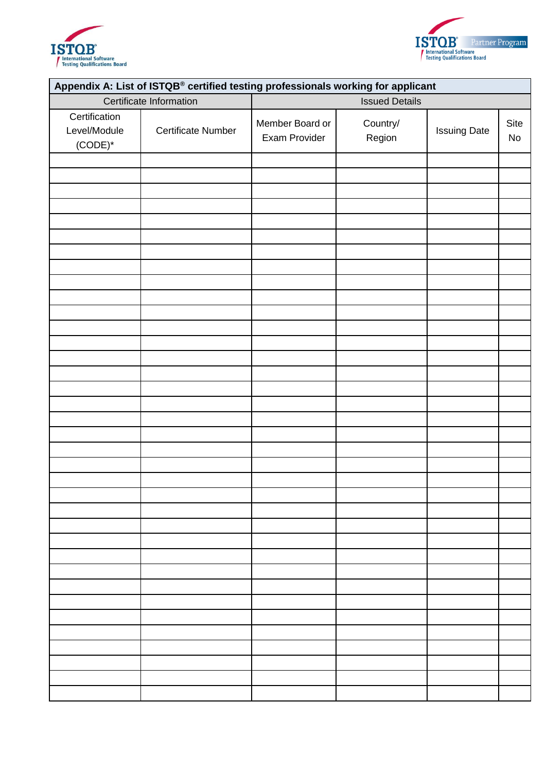



| Appendix A: List of ISTQB® certified testing professionals working for applicant |                           |                                  |                       |                     |                   |  |
|----------------------------------------------------------------------------------|---------------------------|----------------------------------|-----------------------|---------------------|-------------------|--|
|                                                                                  | Certificate Information   |                                  | <b>Issued Details</b> |                     |                   |  |
| Certification<br>Level/Module<br>$(CODE)^*$                                      | <b>Certificate Number</b> | Member Board or<br>Exam Provider | Country/<br>Region    | <b>Issuing Date</b> | <b>Site</b><br>No |  |
|                                                                                  |                           |                                  |                       |                     |                   |  |
|                                                                                  |                           |                                  |                       |                     |                   |  |
|                                                                                  |                           |                                  |                       |                     |                   |  |
|                                                                                  |                           |                                  |                       |                     |                   |  |
|                                                                                  |                           |                                  |                       |                     |                   |  |
|                                                                                  |                           |                                  |                       |                     |                   |  |
|                                                                                  |                           |                                  |                       |                     |                   |  |
|                                                                                  |                           |                                  |                       |                     |                   |  |
|                                                                                  |                           |                                  |                       |                     |                   |  |
|                                                                                  |                           |                                  |                       |                     |                   |  |
|                                                                                  |                           |                                  |                       |                     |                   |  |
|                                                                                  |                           |                                  |                       |                     |                   |  |
|                                                                                  |                           |                                  |                       |                     |                   |  |
|                                                                                  |                           |                                  |                       |                     |                   |  |
|                                                                                  |                           |                                  |                       |                     |                   |  |
|                                                                                  |                           |                                  |                       |                     |                   |  |
|                                                                                  |                           |                                  |                       |                     |                   |  |
|                                                                                  |                           |                                  |                       |                     |                   |  |
|                                                                                  |                           |                                  |                       |                     |                   |  |
|                                                                                  |                           |                                  |                       |                     |                   |  |
|                                                                                  |                           |                                  |                       |                     |                   |  |
|                                                                                  |                           |                                  |                       |                     |                   |  |
|                                                                                  |                           |                                  |                       |                     |                   |  |
|                                                                                  |                           |                                  |                       |                     |                   |  |
|                                                                                  |                           |                                  |                       |                     |                   |  |
|                                                                                  |                           |                                  |                       |                     |                   |  |
|                                                                                  |                           |                                  |                       |                     |                   |  |
|                                                                                  |                           |                                  |                       |                     |                   |  |
|                                                                                  |                           |                                  |                       |                     |                   |  |
|                                                                                  |                           |                                  |                       |                     |                   |  |
|                                                                                  |                           |                                  |                       |                     |                   |  |
|                                                                                  |                           |                                  |                       |                     |                   |  |
|                                                                                  |                           |                                  |                       |                     |                   |  |
|                                                                                  |                           |                                  |                       |                     |                   |  |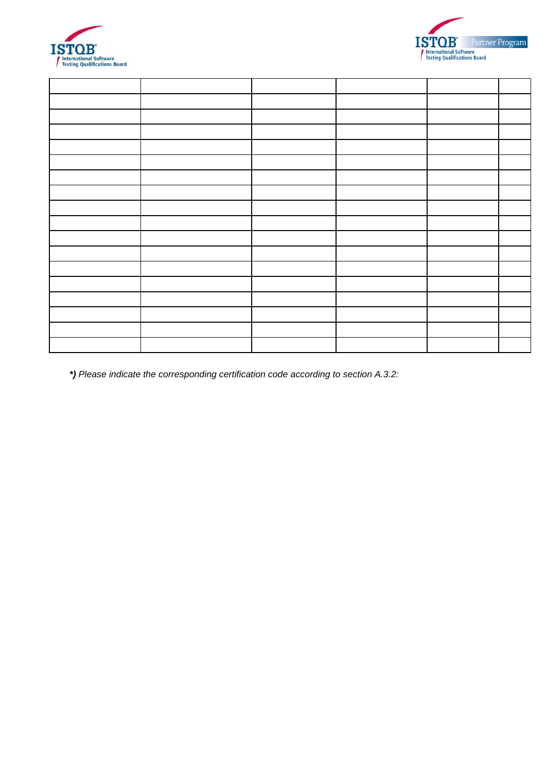



*\*) Please indicate the corresponding certification code according to section A.3.2:*